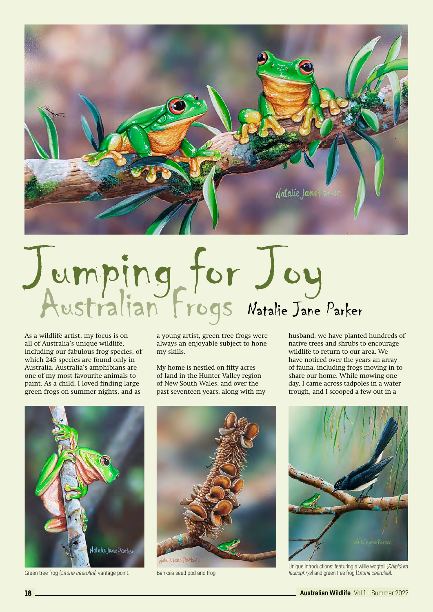

## Jumping for Joy<br>Australian Frogs Natalie Jane Parker

As a wildlife artist, my focus is on all of Australia's unique wildlife, including our fabulous frog species, of which 245 species are found only in Australia. Australia's amphibians are one of my most favourite animals to paint. As a child, I loved finding large green frogs on summer nights, and as

a young artist, green tree frogs were always an enjoyable subject to hone my skills.

My home is nestled on fifty acres of land in the Hunter Valley region of New South Wales, and over the past seventeen years, along with my husband, we have planted hundreds of native trees and shrubs to encourage wildlife to return to our area. We have noticed over the years an array of fauna, including frogs moving in to share our home. While mowing one day, I came across tadpoles in a water trough, and I scooped a few out in a



Green tree frog (Litoria caerulea) vantage point. Banksia seed pod and frog.





Unique introductions: featuring a willie wagtail (Rhipidura leucophrys) and green tree frog (Litoria caerulea).